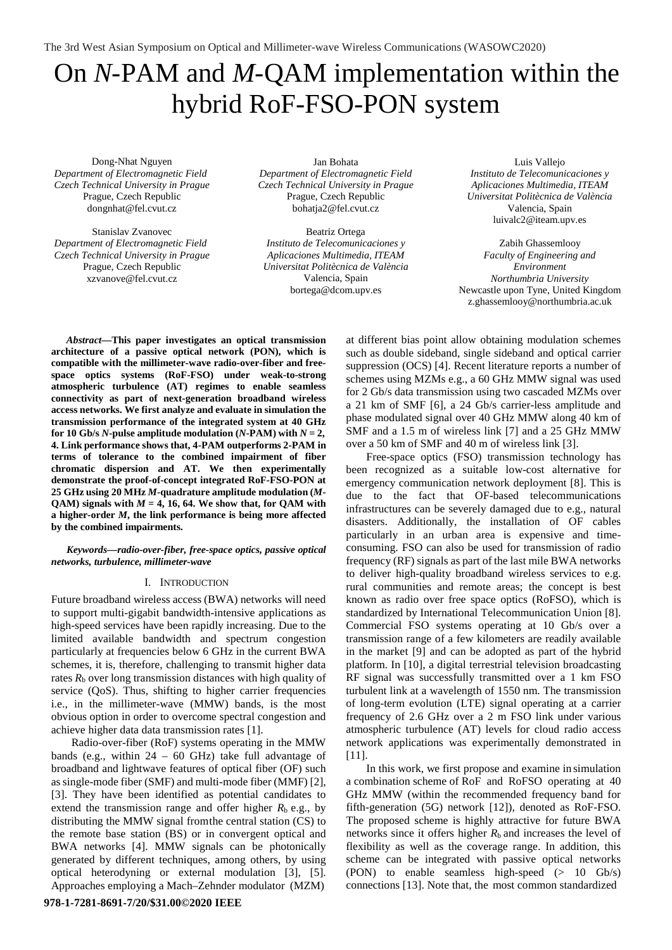The 3rd West Asian Symposium on Optical and Millimeter-wave Wireless Communications (WASOWC2020)

# On *N*-PAM and *M*-QAM implementation within the hybrid RoF-FSO-PON system

Dong-Nhat Nguyen *Department of Electromagnetic Field Czech Technical University in Prague* Prague, Czech Republi[c](mailto:dongnhat@fel.cvut.cz) [dongnhat@fel.cvut.cz](mailto:dongnhat@fel.cvut.cz)

Stanislav Zvanovec *Department of Electromagnetic Field Czech Technical University in Prague* Prague, Czech Republi[c](mailto:xzvanove@fel.cvut.cz) [xzvanove@fel.cvut.cz](mailto:xzvanove@fel.cvut.cz)

Jan Bohata *Department of Electromagnetic Field Czech Technical University in Prague*  Prague, Czech Republi[c](mailto:bohatja2@fel.cvut.cz) [bohatja2@fel.cvut.cz](mailto:bohatja2@fel.cvut.cz)

Beatriz Ortega *Instituto de Telecomunicaciones y Aplicaciones Multimedia, ITEAM Universitat Politècnica de València*  Valencia, Spai[n](mailto:bortega@dcom.upv.es) [bortega@dcom.upv.es](mailto:bortega@dcom.upv.es)

Luis Vallejo *Instituto de Telecomunicaciones y Aplicaciones Multimedia, ITEAM Universitat Politècnica de València*  Valencia, Spain [luivalc2@iteam.upv.es](mailto:luivalc2@iteam.upv.es)

Zabih Ghassemlooy *Faculty of Engineering and Environment Northumbria University* Newcastle upon Tyne, United Kingdo[m](mailto:z.ghassemlooy@northumbria.ac.uk) [z.ghassemlooy@northumbria.ac.uk](mailto:z.ghassemlooy@northumbria.ac.uk)

*Abstract***—This paper investigates an optical transmission architecture of a passive optical network (PON), which is compatible with the millimeter-wave radio-over-fiber and freespace optics systems (RoF-FSO) under weak-to-strong atmospheric turbulence (AT) regimes to enable seamless connectivity as part of next-generation broadband wireless access networks. We first analyze and evaluate in simulation the transmission performance of the integrated system at 40 GHz for 10 Gb/s**  $N$ **-pulse amplitude modulation**  $(N$ **-PAM**) with  $N = 2$ , **4. Link performance shows that, 4-PAM outperforms 2-PAM in terms of tolerance to the combined impairment of fiber chromatic dispersion and AT. We then experimentally demonstrate the proof-of-concept integrated RoF-FSO-PON at 25 GHz using 20 MHz** *M***-quadrature amplitude modulation (***M***-**QAM) signals with  $M = 4$ , 16, 64. We show that, for QAM with **a higher-order** *M***, the link performance is being more affected by the combined impairments.**

#### *Keywords—radio-over-fiber, free-space optics, passive optical networks, turbulence, millimeter-wave*

#### I. INTRODUCTION

Future broadband wireless access (BWA) networks will need to support multi-gigabit bandwidth-intensive applications as high-speed services have been rapidly increasing. Due to the limited available bandwidth and spectrum congestion particularly at frequencies below 6 GHz in the current BWA schemes, it is, therefore, challenging to transmit higher data rates  $R<sub>b</sub>$  over long transmission distances with high quality of service (QoS). Thus, shifting to higher carrier frequencies i.e., in the millimeter-wave (MMW) bands, is the most obvious option in order to overcome spectral congestion and achieve higher data data transmission rates [1].

Radio-over-fiber (RoF) systems operating in the MMW bands (e.g., within  $24 - 60$  GHz) take full advantage of broadband and lightwave features of optical fiber (OF) such assingle-mode fiber (SMF) and multi-mode fiber (MMF) [2], [3]. They have been identified as potential candidates to extend the transmission range and offer higher  $R_b$  e.g., by distributing the MMW signal fromthe central station (CS) to the remote base station (BS) or in convergent optical and BWA networks [4]. MMW signals can be photonically generated by different techniques, among others, by using optical heterodyning or external modulation [3], [5]. Approaches employing a Mach–Zehnder modulator (MZM)

at different bias point allow obtaining modulation schemes such as double sideband, single sideband and optical carrier suppression (OCS) [4]. Recent literature reports a number of schemes using MZMs e.g., a 60 GHz MMW signal was used for 2 Gb/s data transmission using two cascaded MZMs over a 21 km of SMF [6], a 24 Gb/s carrier-less amplitude and phase modulated signal over 40 GHz MMW along 40 km of SMF and a 1.5 m of wireless link [7] and a 25 GHz MMW over a 50 km of SMF and 40 m of wireless link [3].

Free-space optics (FSO) transmission technology has been recognized as a suitable low-cost alternative for emergency communication network deployment [8]. This is due to the fact that OF-based telecommunications infrastructures can be severely damaged due to e.g., natural disasters. Additionally, the installation of OF cables particularly in an urban area is expensive and timeconsuming. FSO can also be used for transmission of radio frequency (RF) signals as part of the last mile BWA networks to deliver high-quality broadband wireless services to e.g. rural communities and remote areas; the concept is best known as radio over free space optics (RoFSO), which is standardized by International Telecommunication Union [8]. Commercial FSO systems operating at 10 Gb/s over a transmission range of a few kilometers are readily available in the market [9] and can be adopted as part of the hybrid platform. In [10], a digital terrestrial television broadcasting RF signal was successfully transmitted over a 1 km FSO turbulent link at a wavelength of 1550 nm. The transmission of long-term evolution (LTE) signal operating at a carrier frequency of 2.6 GHz over a 2 m FSO link under various atmospheric turbulence (AT) levels for cloud radio access network applications was experimentally demonstrated in [11].

In this work, we first propose and examine in simulation a combination scheme of RoF and RoFSO operating at 40 GHz MMW (within the recommended frequency band for fifth-generation (5G) network [12]), denoted as RoF-FSO. The proposed scheme is highly attractive for future BWA networks since it offers higher *R*b and increases the level of flexibility as well as the coverage range. In addition, this scheme can be integrated with passive optical networks (PON) to enable seamless high-speed (> 10 Gb/s) connections [13]. Note that, the most common standardized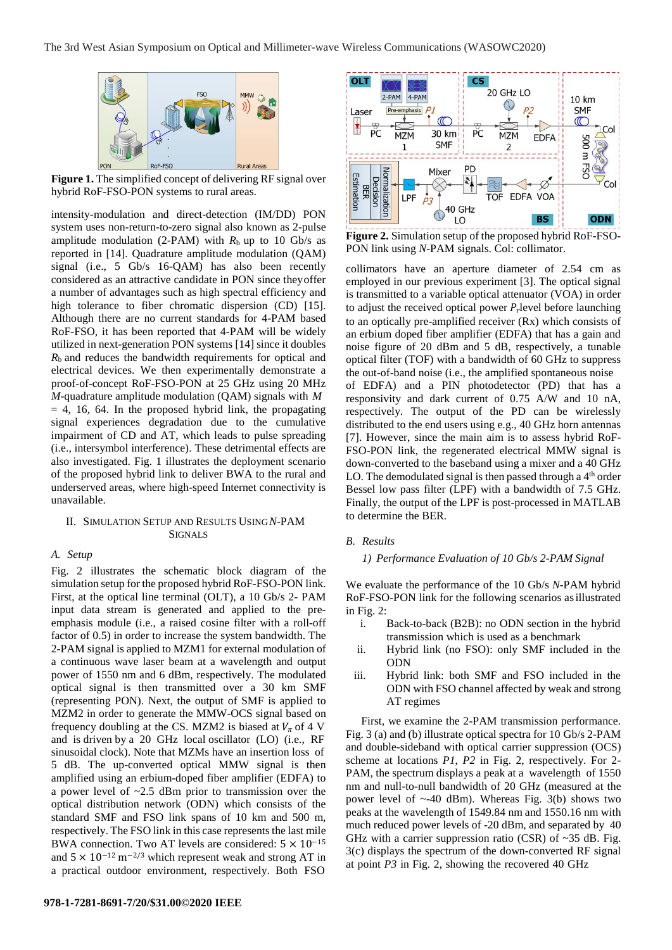

**Figure 1.** The simplified concept of delivering RF signal over hybrid RoF-FSO-PON systems to rural areas.

intensity-modulation and direct-detection (IM/DD) PON system uses non-return-to-zero signal also known as 2-pulse amplitude modulation (2-PAM) with  $R<sub>b</sub>$  up to 10 Gb/s as reported in [14]. Quadrature amplitude modulation (QAM) signal (i.e., 5 Gb/s 16-QAM) has also been recently considered as an attractive candidate in PON since theyoffer a number of advantages such as high spectral efficiency and high tolerance to fiber chromatic dispersion (CD) [15]. Although there are no current standards for 4-PAM based RoF-FSO, it has been reported that 4-PAM will be widely utilized in next-generation PON systems [14] since it doubles *R*b and reduces the bandwidth requirements for optical and electrical devices. We then experimentally demonstrate a proof-of-concept RoF-FSO-PON at 25 GHz using 20 MHz *M*-quadrature amplitude modulation (QAM) signals with *M*  $= 4$ , 16, 64. In the proposed hybrid link, the propagating signal experiences degradation due to the cumulative impairment of CD and AT, which leads to pulse spreading (i.e., intersymbol interference). These detrimental effects are also investigated. Fig. 1 illustrates the deployment scenario of the proposed hybrid link to deliver BWA to the rural and underserved areas, where high-speed Internet connectivity is unavailable.

#### II. SIMULATION SETUP AND RESULTS USING*N*-PAM SIGNALS

## *A. Setup*

Fig. 2 illustrates the schematic block diagram of the simulation setup for the proposed hybrid RoF-FSO-PON link. First, at the optical line terminal (OLT), a 10 Gb/s 2- PAM input data stream is generated and applied to the preemphasis module (i.e., a raised cosine filter with a roll-off factor of 0.5) in order to increase the system bandwidth. The 2-PAM signal is applied to MZM1 for external modulation of a continuous wave laser beam at a wavelength and output power of 1550 nm and 6 dBm, respectively. The modulated optical signal is then transmitted over a 30 km SMF (representing PON). Next, the output of SMF is applied to MZM2 in order to generate the MMW-OCS signal based on frequency doubling at the CS. MZM2 is biased at  $V_{\pi}$  of 4 V and is driven by a 20 GHz local oscillator (LO) (i.e., RF sinusoidal clock). Note that MZMs have an insertion loss of 5 dB. The up-converted optical MMW signal is then amplified using an erbium-doped fiber amplifier (EDFA) to a power level of ~2.5 dBm prior to transmission over the optical distribution network (ODN) which consists of the standard SMF and FSO link spans of 10 km and 500 m, respectively. The FSO link in this case represents the last mile BWA connection. Two AT levels are considered:  $5 \times 10^{-15}$ and  $5 \times 10^{-12}$  m<sup>-2/3</sup> which represent weak and strong AT in a practical outdoor environment, respectively. Both FSO



**Figure 2.** Simulation setup of the proposed hybrid RoF-FSO-PON link using *N*-PAM signals. Col: collimator.

collimators have an aperture diameter of 2.54 cm as employed in our previous experiment [3]. The optical signal is transmitted to a variable optical attenuator (VOA) in order to adjust the received optical power  $P_r$  level before launching to an optically pre-amplified receiver (Rx) which consists of an erbium doped fiber amplifier (EDFA) that has a gain and noise figure of 20 dBm and 5 dB, respectively, a tunable optical filter (TOF) with a bandwidth of 60 GHz to suppress the out-of-band noise (i.e., the amplified spontaneous noise of EDFA) and a PIN photodetector (PD) that has a responsivity and dark current of 0.75 A/W and 10 nA, respectively. The output of the PD can be wirelessly distributed to the end users using e.g., 40 GHz horn antennas [7]. However, since the main aim is to assess hybrid RoF-FSO-PON link, the regenerated electrical MMW signal is down-converted to the baseband using a mixer and a 40 GHz LO. The demodulated signal is then passed through a  $4<sup>th</sup>$  order Bessel low pass filter (LPF) with a bandwidth of 7.5 GHz. Finally, the output of the LPF is post-processed in MATLAB to determine the BER.

## *B. Results*

*1) Performance Evaluation of 10 Gb/s 2-PAM Signal*

We evaluate the performance of the 10 Gb/s *N*-PAM hybrid RoF-FSO-PON link for the following scenarios asillustrated in Fig. 2:

- i. Back-to-back (B2B): no ODN section in the hybrid transmission which is used as a benchmark
- ii. Hybrid link (no FSO): only SMF included in the ODN
- iii. Hybrid link: both SMF and FSO included in the ODN with FSO channel affected by weak and strong AT regimes

First, we examine the 2-PAM transmission performance. Fig. 3 (a) and (b) illustrate optical spectra for 10 Gb/s 2-PAM and double-sideband with optical carrier suppression (OCS) scheme at locations *P1*, *P2* in Fig. 2, respectively. For 2- PAM, the spectrum displays a peak at a wavelength of 1550 nm and null-to-null bandwidth of 20 GHz (measured at the power level of  $\sim$ -40 dBm). Whereas Fig. 3(b) shows two peaks at the wavelength of 1549.84 nm and 1550.16 nm with much reduced power levels of -20 dBm, and separated by 40 GHz with a carrier suppression ratio (CSR) of  $\sim$ 35 dB. Fig. 3(c) displays the spectrum of the down-converted RF signal at point *P3* in Fig. 2, showing the recovered 40 GHz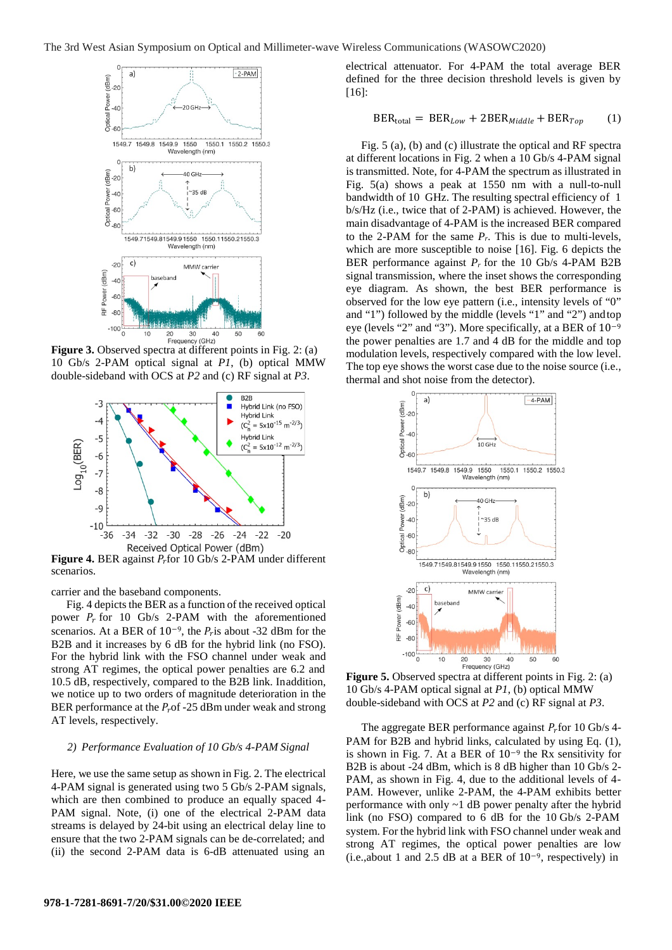

Figure 3. Observed spectra at different points in Fig. 2: (a) 10 Gb/s 2-PAM optical signal at *P1*, (b) optical MMW double-sideband with OCS at *P2* and (c) RF signal at *P3*.



**Figure 4.** BER against  $P_r$  for 10 Gb/s 2-PAM under different scenarios.

carrier and the baseband components.

Fig. 4 depicts the BER as a function of the received optical power  $P_r$  for 10 Gb/s 2-PAM with the aforementioned scenarios. At a BER of  $10^{-9}$ , the  $P<sub>r</sub>$  is about -32 dBm for the B2B and it increases by 6 dB for the hybrid link (no FSO). For the hybrid link with the FSO channel under weak and strong AT regimes, the optical power penalties are 6.2 and 10.5 dB, respectively, compared to the B2B link. Inaddition, we notice up to two orders of magnitude deterioration in the BER performance at the  $P<sub>r</sub>$  of -25 dBm under weak and strong AT levels, respectively.

#### *2) Performance Evaluation of 10 Gb/s 4-PAM Signal*

Here, we use the same setup as shown in Fig. 2. The electrical 4-PAM signal is generated using two 5 Gb/s 2-PAM signals, which are then combined to produce an equally spaced 4- PAM signal. Note, (i) one of the electrical 2-PAM data streams is delayed by 24-bit using an electrical delay line to ensure that the two 2-PAM signals can be de-correlated; and (ii) the second 2-PAM data is 6-dB attenuated using an

electrical attenuator. For 4-PAM the total average BER defined for the three decision threshold levels is given by [16]:

$$
BER_{\text{total}} = BER_{Low} + 2BER_{\text{Middle}} + BER_{Top} \qquad (1)
$$

Fig. 5 (a), (b) and (c) illustrate the optical and RF spectra at different locations in Fig. 2 when a 10 Gb/s 4-PAM signal is transmitted. Note, for 4-PAM the spectrum as illustrated in Fig. 5(a) shows a peak at 1550 nm with a null-to-null bandwidth of 10 GHz. The resulting spectral efficiency of 1 b/s/Hz (i.e., twice that of 2-PAM) is achieved. However, the main disadvantage of 4-PAM is the increased BER compared to the 2-PAM for the same  $P_r$ . This is due to multi-levels, which are more susceptible to noise [16]. Fig. 6 depicts the BER performance against *Pr* for the 10 Gb/s 4-PAM B2B signal transmission, where the inset shows the corresponding eye diagram. As shown, the best BER performance is observed for the low eye pattern (i.e., intensity levels of "0" and "1") followed by the middle (levels "1" and "2") andtop eye (levels "2" and "3"). More specifically, at a BER of 10−9 the power penalties are 1.7 and 4 dB for the middle and top modulation levels, respectively compared with the low level. The top eye shows the worst case due to the noise source (i.e., thermal and shot noise from the detector).



**Figure 5.** Observed spectra at different points in Fig. 2: (a) 10 Gb/s 4-PAM optical signal at *P1*, (b) optical MMW double-sideband with OCS at *P2* and (c) RF signal at *P3*.

The aggregate BER performance against  $P_r$  for 10 Gb/s 4-PAM for B2B and hybrid links, calculated by using Eq. (1), is shown in Fig. 7. At a BER of 10<sup>−</sup><sup>9</sup> the Rx sensitivity for B2B is about -24 dBm, which is 8 dB higher than 10 Gb/s 2- PAM, as shown in Fig. 4, due to the additional levels of 4- PAM. However, unlike 2-PAM, the 4-PAM exhibits better performance with only ~1 dB power penalty after the hybrid link (no FSO) compared to 6 dB for the 10 Gb/s 2-PAM system. For the hybrid link with FSO channel under weak and strong AT regimes, the optical power penalties are low (i.e.,about 1 and 2.5 dB at a BER of 10−9, respectively) in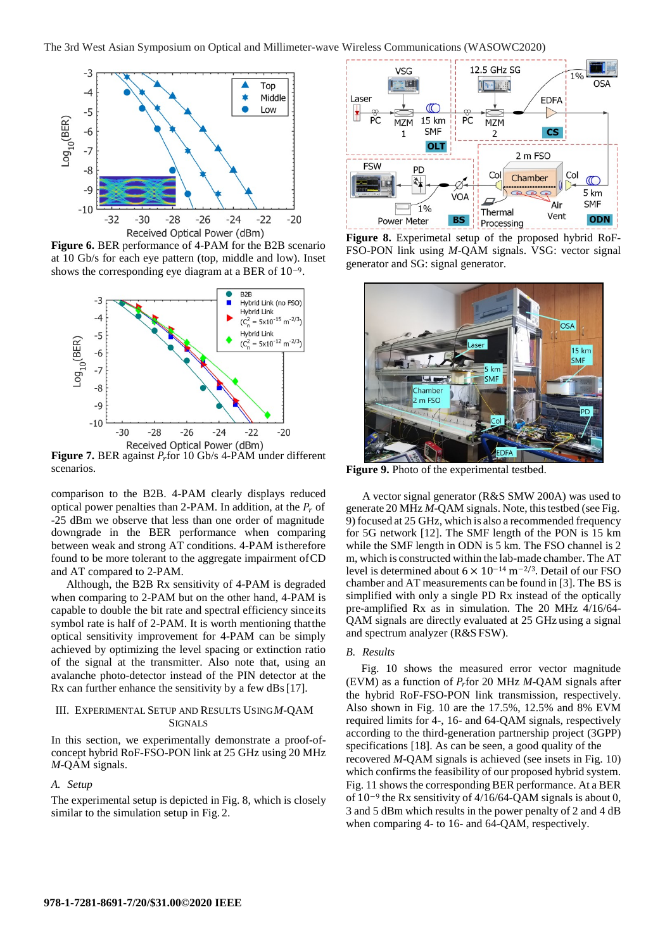

**Figure 6.** BER performance of 4-PAM for the B2B scenario at 10 Gb/s for each eye pattern (top, middle and low). Inset shows the corresponding eye diagram at a BER of 10−9.



**Figure 7.** BER against  $P_r$  for 10 Gb/s 4-PAM under different scenarios.

comparison to the B2B. 4-PAM clearly displays reduced optical power penalties than 2-PAM. In addition, at the  $P_r$  of -25 dBm we observe that less than one order of magnitude downgrade in the BER performance when comparing between weak and strong AT conditions. 4-PAM istherefore found to be more tolerant to the aggregate impairment ofCD and AT compared to 2-PAM.

Although, the B2B Rx sensitivity of 4-PAM is degraded when comparing to 2-PAM but on the other hand, 4-PAM is capable to double the bit rate and spectral efficiency sinceits symbol rate is half of 2-PAM. It is worth mentioning thatthe optical sensitivity improvement for 4-PAM can be simply achieved by optimizing the level spacing or extinction ratio of the signal at the transmitter. Also note that, using an avalanche photo-detector instead of the PIN detector at the Rx can further enhance the sensitivity by a few dBs[17].

## III. EXPERIMENTAL SETUP AND RESULTS USING*M*-QAM SIGNALS

In this section, we experimentally demonstrate a proof-ofconcept hybrid RoF-FSO-PON link at 25 GHz using 20 MHz *M*-QAM signals.

#### *A. Setup*

The experimental setup is depicted in Fig. 8, which is closely similar to the simulation setup in Fig. 2.



**Figure 8.** Experimetal setup of the proposed hybrid RoF-FSO-PON link using *M*-QAM signals. VSG: vector signal generator and SG: signal generator.



**Figure 9.** Photo of the experimental testbed.

A vector signal generator (R&S SMW 200A) was used to generate 20 MHz *M*-QAM signals. Note, this testbed (see Fig. 9) focused at 25 GHz, which is also a recommended frequency for 5G network [12]. The SMF length of the PON is 15 km while the SMF length in ODN is 5 km. The FSO channel is 2 m, which is constructed within the lab-made chamber. The AT level is determined about 6 × 10−14 m−2/3. Detail of our FSO chamber and AT measurements can be found in [3]. The BS is simplified with only a single PD Rx instead of the optically pre-amplified Rx as in simulation. The 20 MHz 4/16/64- QAM signals are directly evaluated at 25 GHz using a signal and spectrum analyzer (R&S FSW).

#### *B. Results*

Fig. 10 shows the measured error vector magnitude (EVM) as a function of  $P_r$  for 20 MHz  $M$ -QAM signals after the hybrid RoF-FSO-PON link transmission, respectively. Also shown in Fig. 10 are the 17.5%, 12.5% and 8% EVM required limits for 4-, 16- and 64-QAM signals, respectively according to the third-generation partnership project (3GPP) specifications [18]. As can be seen, a good quality of the recovered *M*-QAM signals is achieved (see insets in Fig. 10) which confirms the feasibility of our proposed hybrid system. Fig. 11 shows the corresponding BER performance. At a BER of 10−9 the Rx sensitivity of 4/16/64-QAM signals is about 0, 3 and 5 dBm which results in the power penalty of 2 and 4 dB when comparing 4- to 16- and 64-QAM, respectively.